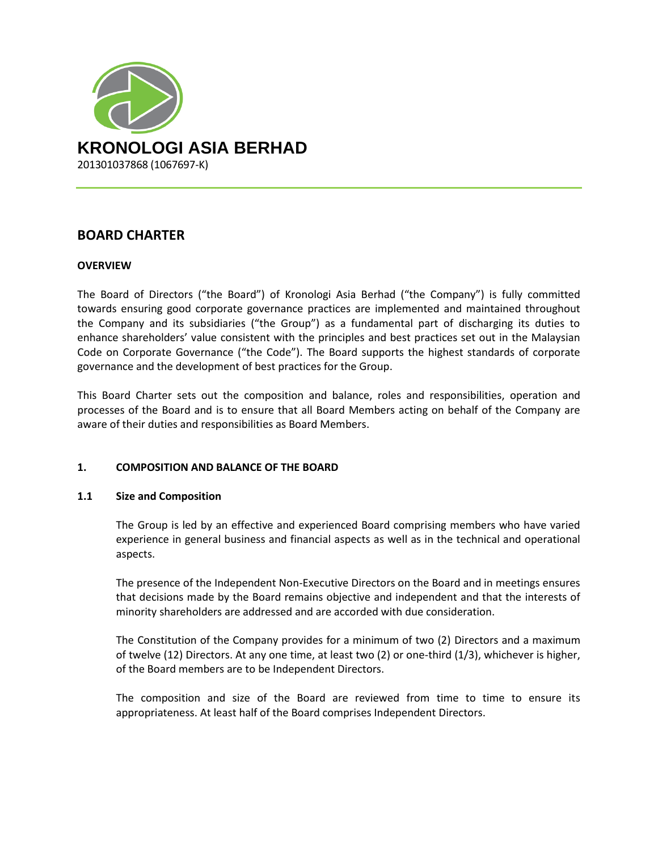

# **BOARD CHARTER**

### **OVERVIEW**

The Board of Directors ("the Board") of Kronologi Asia Berhad ("the Company") is fully committed towards ensuring good corporate governance practices are implemented and maintained throughout the Company and its subsidiaries ("the Group") as a fundamental part of discharging its duties to enhance shareholders' value consistent with the principles and best practices set out in the Malaysian Code on Corporate Governance ("the Code"). The Board supports the highest standards of corporate governance and the development of best practices for the Group.

This Board Charter sets out the composition and balance, roles and responsibilities, operation and processes of the Board and is to ensure that all Board Members acting on behalf of the Company are aware of their duties and responsibilities as Board Members.

# **1. COMPOSITION AND BALANCE OF THE BOARD**

### **1.1 Size and Composition**

The Group is led by an effective and experienced Board comprising members who have varied experience in general business and financial aspects as well as in the technical and operational aspects.

The presence of the Independent Non-Executive Directors on the Board and in meetings ensures that decisions made by the Board remains objective and independent and that the interests of minority shareholders are addressed and are accorded with due consideration.

The Constitution of the Company provides for a minimum of two (2) Directors and a maximum of twelve (12) Directors. At any one time, at least two (2) or one-third (1/3), whichever is higher, of the Board members are to be Independent Directors.

The composition and size of the Board are reviewed from time to time to ensure its appropriateness. At least half of the Board comprises Independent Directors.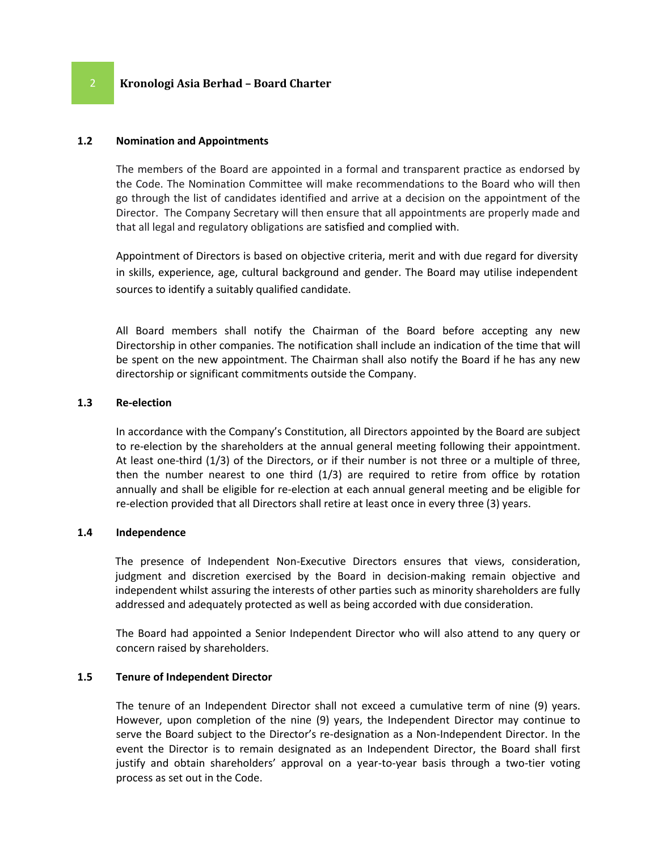### **1.2 Nomination and Appointments**

The members of the Board are appointed in a formal and transparent practice as endorsed by the Code. The Nomination Committee will make recommendations to the Board who will then go through the list of candidates identified and arrive at a decision on the appointment of the Director. The Company Secretary will then ensure that all appointments are properly made and that all legal and regulatory obligations are satisfied and complied with.

Appointment of Directors is based on objective criteria, merit and with due regard for diversity in skills, experience, age, cultural background and gender. The Board may utilise independent sources to identify a suitably qualified candidate.

All Board members shall notify the Chairman of the Board before accepting any new Directorship in other companies. The notification shall include an indication of the time that will be spent on the new appointment. The Chairman shall also notify the Board if he has any new directorship or significant commitments outside the Company.

#### **1.3 Re-election**

In accordance with the Company's Constitution, all Directors appointed by the Board are subject to re-election by the shareholders at the annual general meeting following their appointment. At least one-third (1/3) of the Directors, or if their number is not three or a multiple of three, then the number nearest to one third (1/3) are required to retire from office by rotation annually and shall be eligible for re-election at each annual general meeting and be eligible for re-election provided that all Directors shall retire at least once in every three (3) years.

### **1.4 Independence**

The presence of Independent Non-Executive Directors ensures that views, consideration, judgment and discretion exercised by the Board in decision-making remain objective and independent whilst assuring the interests of other parties such as minority shareholders are fully addressed and adequately protected as well as being accorded with due consideration.

The Board had appointed a Senior Independent Director who will also attend to any query or concern raised by shareholders.

#### **1.5 Tenure of Independent Director**

The tenure of an Independent Director shall not exceed a cumulative term of nine (9) years. However, upon completion of the nine (9) years, the Independent Director may continue to serve the Board subject to the Director's re-designation as a Non-Independent Director. In the event the Director is to remain designated as an Independent Director, the Board shall first justify and obtain shareholders' approval on a year-to-year basis through a two-tier voting process as set out in the Code.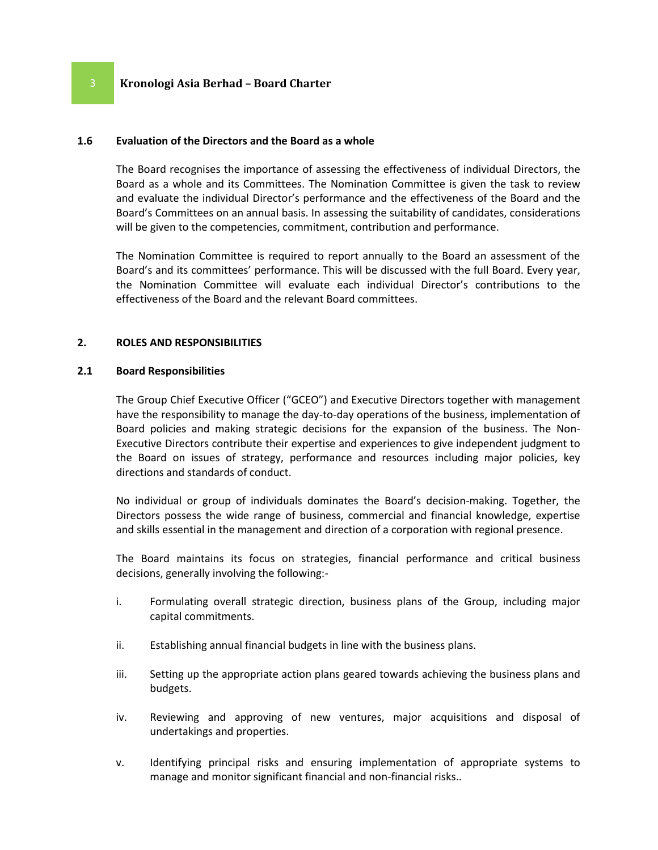#### **1.6 Evaluation of the Directors and the Board as a whole**

The Board recognises the importance of assessing the effectiveness of individual Directors, the Board as a whole and its Committees. The Nomination Committee is given the task to review and evaluate the individual Director's performance and the effectiveness of the Board and the Board's Committees on an annual basis. In assessing the suitability of candidates, considerations will be given to the competencies, commitment, contribution and performance.

The Nomination Committee is required to report annually to the Board an assessment of the Board's and its committees' performance. This will be discussed with the full Board. Every year, the Nomination Committee will evaluate each individual Director's contributions to the effectiveness of the Board and the relevant Board committees.

#### **2. ROLES AND RESPONSIBILITIES**

#### **2.1 Board Responsibilities**

The Group Chief Executive Officer ("GCEO") and Executive Directors together with management have the responsibility to manage the day-to-day operations of the business, implementation of Board policies and making strategic decisions for the expansion of the business. The Non-Executive Directors contribute their expertise and experiences to give independent judgment to the Board on issues of strategy, performance and resources including major policies, key directions and standards of conduct.

No individual or group of individuals dominates the Board's decision-making. Together, the Directors possess the wide range of business, commercial and financial knowledge, expertise and skills essential in the management and direction of a corporation with regional presence.

The Board maintains its focus on strategies, financial performance and critical business decisions, generally involving the following:-

- i. Formulating overall strategic direction, business plans of the Group, including major capital commitments.
- ii. Establishing annual financial budgets in line with the business plans.
- iii. Setting up the appropriate action plans geared towards achieving the business plans and budgets.
- iv. Reviewing and approving of new ventures, major acquisitions and disposal of undertakings and properties.
- v. Identifying principal risks and ensuring implementation of appropriate systems to manage and monitor significant financial and non-financial risks..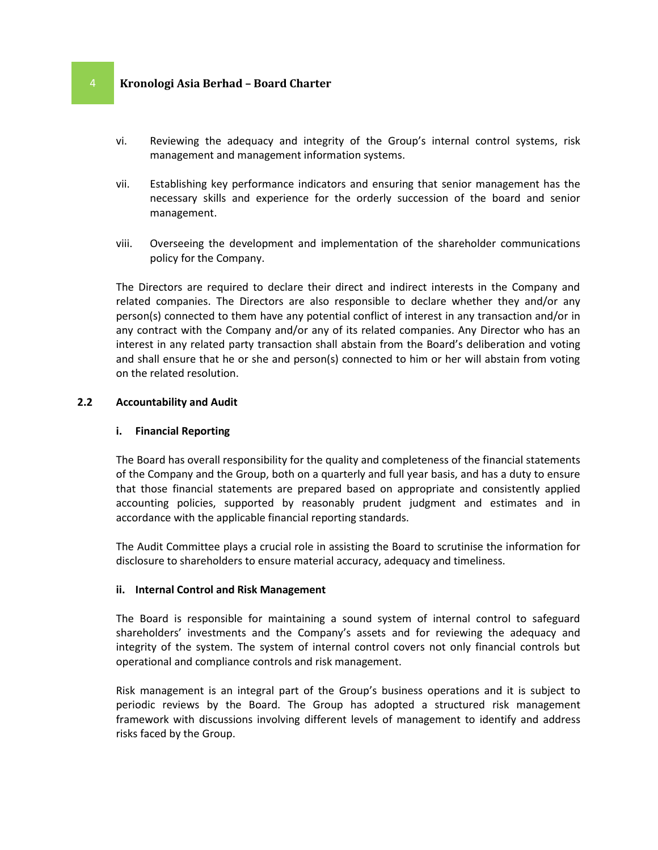- vi. Reviewing the adequacy and integrity of the Group's internal control systems, risk management and management information systems.
- vii. Establishing key performance indicators and ensuring that senior management has the necessary skills and experience for the orderly succession of the board and senior management.
- viii. Overseeing the development and implementation of the shareholder communications policy for the Company.

The Directors are required to declare their direct and indirect interests in the Company and related companies. The Directors are also responsible to declare whether they and/or any person(s) connected to them have any potential conflict of interest in any transaction and/or in any contract with the Company and/or any of its related companies. Any Director who has an interest in any related party transaction shall abstain from the Board's deliberation and voting and shall ensure that he or she and person(s) connected to him or her will abstain from voting on the related resolution.

#### **2.2 Accountability and Audit**

### **i. Financial Reporting**

The Board has overall responsibility for the quality and completeness of the financial statements of the Company and the Group, both on a quarterly and full year basis, and has a duty to ensure that those financial statements are prepared based on appropriate and consistently applied accounting policies, supported by reasonably prudent judgment and estimates and in accordance with the applicable financial reporting standards.

The Audit Committee plays a crucial role in assisting the Board to scrutinise the information for disclosure to shareholders to ensure material accuracy, adequacy and timeliness.

#### **ii. Internal Control and Risk Management**

The Board is responsible for maintaining a sound system of internal control to safeguard shareholders' investments and the Company's assets and for reviewing the adequacy and integrity of the system. The system of internal control covers not only financial controls but operational and compliance controls and risk management.

Risk management is an integral part of the Group's business operations and it is subject to periodic reviews by the Board. The Group has adopted a structured risk management framework with discussions involving different levels of management to identify and address risks faced by the Group.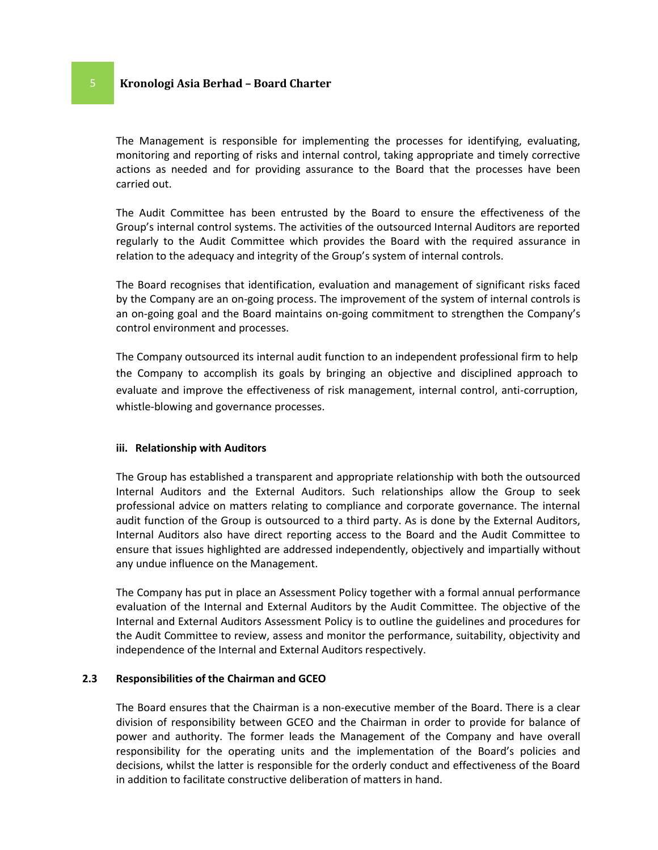The Management is responsible for implementing the processes for identifying, evaluating, monitoring and reporting of risks and internal control, taking appropriate and timely corrective actions as needed and for providing assurance to the Board that the processes have been carried out.

The Audit Committee has been entrusted by the Board to ensure the effectiveness of the Group's internal control systems. The activities of the outsourced Internal Auditors are reported regularly to the Audit Committee which provides the Board with the required assurance in relation to the adequacy and integrity of the Group's system of internal controls.

The Board recognises that identification, evaluation and management of significant risks faced by the Company are an on-going process. The improvement of the system of internal controls is an on-going goal and the Board maintains on-going commitment to strengthen the Company's control environment and processes.

The Company outsourced its internal audit function to an independent professional firm to help the Company to accomplish its goals by bringing an objective and disciplined approach to evaluate and improve the effectiveness of risk management, internal control, anti-corruption, whistle-blowing and governance processes.

#### **iii. Relationship with Auditors**

The Group has established a transparent and appropriate relationship with both the outsourced Internal Auditors and the External Auditors. Such relationships allow the Group to seek professional advice on matters relating to compliance and corporate governance. The internal audit function of the Group is outsourced to a third party. As is done by the External Auditors, Internal Auditors also have direct reporting access to the Board and the Audit Committee to ensure that issues highlighted are addressed independently, objectively and impartially without any undue influence on the Management.

The Company has put in place an Assessment Policy together with a formal annual performance evaluation of the Internal and External Auditors by the Audit Committee. The objective of the Internal and External Auditors Assessment Policy is to outline the guidelines and procedures for the Audit Committee to review, assess and monitor the performance, suitability, objectivity and independence of the Internal and External Auditors respectively.

# **2.3 Responsibilities of the Chairman and GCEO**

The Board ensures that the Chairman is a non-executive member of the Board. There is a clear division of responsibility between GCEO and the Chairman in order to provide for balance of power and authority. The former leads the Management of the Company and have overall responsibility for the operating units and the implementation of the Board's policies and decisions, whilst the latter is responsible for the orderly conduct and effectiveness of the Board in addition to facilitate constructive deliberation of matters in hand.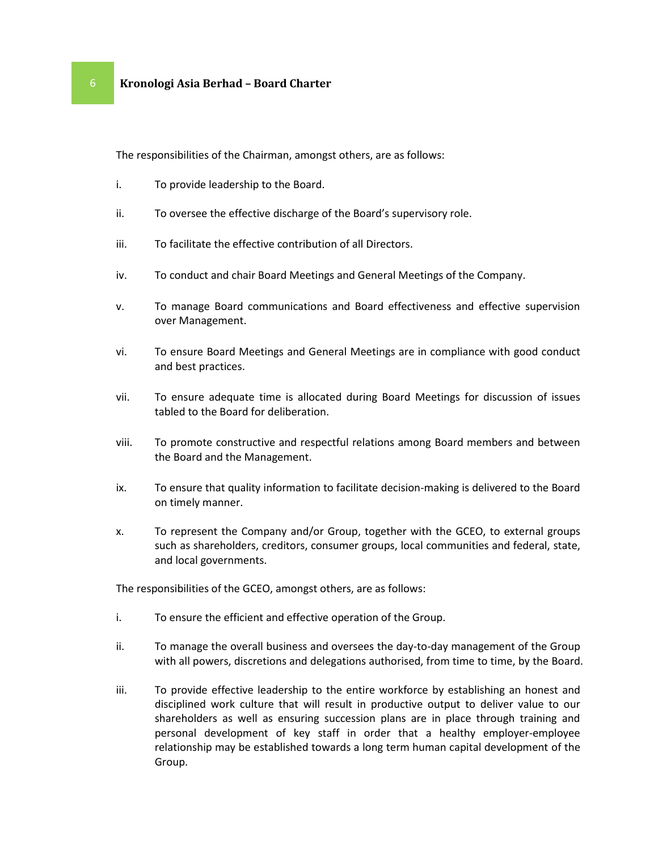The responsibilities of the Chairman, amongst others, are as follows:

- i. To provide leadership to the Board.
- ii. To oversee the effective discharge of the Board's supervisory role.
- iii. To facilitate the effective contribution of all Directors.
- iv. To conduct and chair Board Meetings and General Meetings of the Company.
- v. To manage Board communications and Board effectiveness and effective supervision over Management.
- vi. To ensure Board Meetings and General Meetings are in compliance with good conduct and best practices.
- vii. To ensure adequate time is allocated during Board Meetings for discussion of issues tabled to the Board for deliberation.
- viii. To promote constructive and respectful relations among Board members and between the Board and the Management.
- ix. To ensure that quality information to facilitate decision-making is delivered to the Board on timely manner.
- x. To represent the Company and/or Group, together with the GCEO, to external groups such as shareholders, creditors, consumer groups, local communities and federal, state, and local governments.

The responsibilities of the GCEO, amongst others, are as follows:

- i. To ensure the efficient and effective operation of the Group.
- ii. To manage the overall business and oversees the day-to-day management of the Group with all powers, discretions and delegations authorised, from time to time, by the Board.
- iii. To provide effective leadership to the entire workforce by establishing an honest and disciplined work culture that will result in productive output to deliver value to our shareholders as well as ensuring succession plans are in place through training and personal development of key staff in order that a healthy employer-employee relationship may be established towards a long term human capital development of the Group.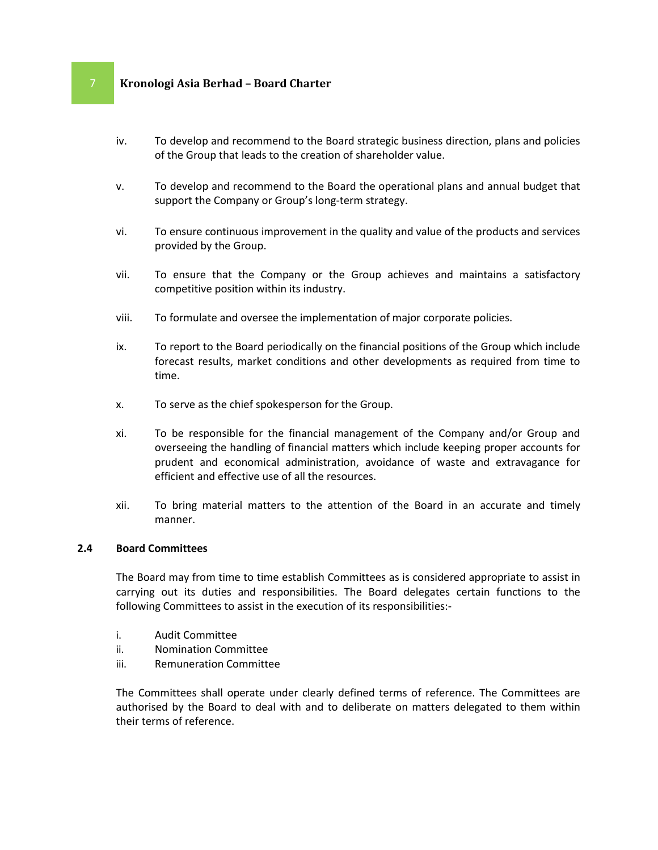- iv. To develop and recommend to the Board strategic business direction, plans and policies of the Group that leads to the creation of shareholder value.
- v. To develop and recommend to the Board the operational plans and annual budget that support the Company or Group's long-term strategy.
- vi. To ensure continuous improvement in the quality and value of the products and services provided by the Group.
- vii. To ensure that the Company or the Group achieves and maintains a satisfactory competitive position within its industry.
- viii. To formulate and oversee the implementation of major corporate policies.
- ix. To report to the Board periodically on the financial positions of the Group which include forecast results, market conditions and other developments as required from time to time.
- x. To serve as the chief spokesperson for the Group.
- xi. To be responsible for the financial management of the Company and/or Group and overseeing the handling of financial matters which include keeping proper accounts for prudent and economical administration, avoidance of waste and extravagance for efficient and effective use of all the resources.
- xii. To bring material matters to the attention of the Board in an accurate and timely manner.

### **2.4 Board Committees**

The Board may from time to time establish Committees as is considered appropriate to assist in carrying out its duties and responsibilities. The Board delegates certain functions to the following Committees to assist in the execution of its responsibilities:-

- i. Audit Committee
- ii. Nomination Committee
- iii. Remuneration Committee

The Committees shall operate under clearly defined terms of reference. The Committees are authorised by the Board to deal with and to deliberate on matters delegated to them within their terms of reference.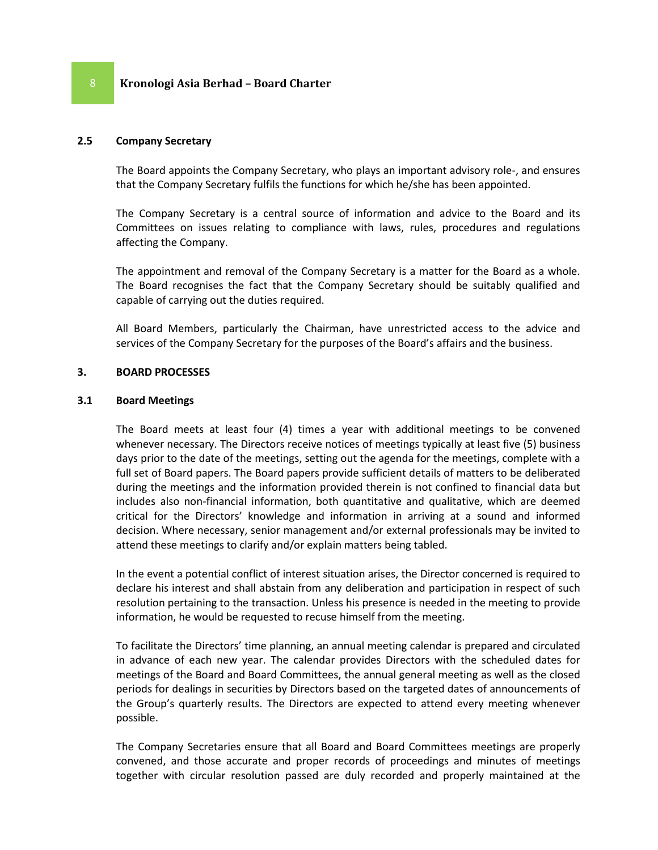# **2.5 Company Secretary**

The Board appoints the Company Secretary, who plays an important advisory role-, and ensures that the Company Secretary fulfils the functions for which he/she has been appointed.

The Company Secretary is a central source of information and advice to the Board and its Committees on issues relating to compliance with laws, rules, procedures and regulations affecting the Company.

The appointment and removal of the Company Secretary is a matter for the Board as a whole. The Board recognises the fact that the Company Secretary should be suitably qualified and capable of carrying out the duties required.

All Board Members, particularly the Chairman, have unrestricted access to the advice and services of the Company Secretary for the purposes of the Board's affairs and the business.

### **3. BOARD PROCESSES**

### **3.1 Board Meetings**

The Board meets at least four (4) times a year with additional meetings to be convened whenever necessary. The Directors receive notices of meetings typically at least five (5) business days prior to the date of the meetings, setting out the agenda for the meetings, complete with a full set of Board papers. The Board papers provide sufficient details of matters to be deliberated during the meetings and the information provided therein is not confined to financial data but includes also non-financial information, both quantitative and qualitative, which are deemed critical for the Directors' knowledge and information in arriving at a sound and informed decision. Where necessary, senior management and/or external professionals may be invited to attend these meetings to clarify and/or explain matters being tabled.

In the event a potential conflict of interest situation arises, the Director concerned is required to declare his interest and shall abstain from any deliberation and participation in respect of such resolution pertaining to the transaction. Unless his presence is needed in the meeting to provide information, he would be requested to recuse himself from the meeting.

To facilitate the Directors' time planning, an annual meeting calendar is prepared and circulated in advance of each new year. The calendar provides Directors with the scheduled dates for meetings of the Board and Board Committees, the annual general meeting as well as the closed periods for dealings in securities by Directors based on the targeted dates of announcements of the Group's quarterly results. The Directors are expected to attend every meeting whenever possible.

The Company Secretaries ensure that all Board and Board Committees meetings are properly convened, and those accurate and proper records of proceedings and minutes of meetings together with circular resolution passed are duly recorded and properly maintained at the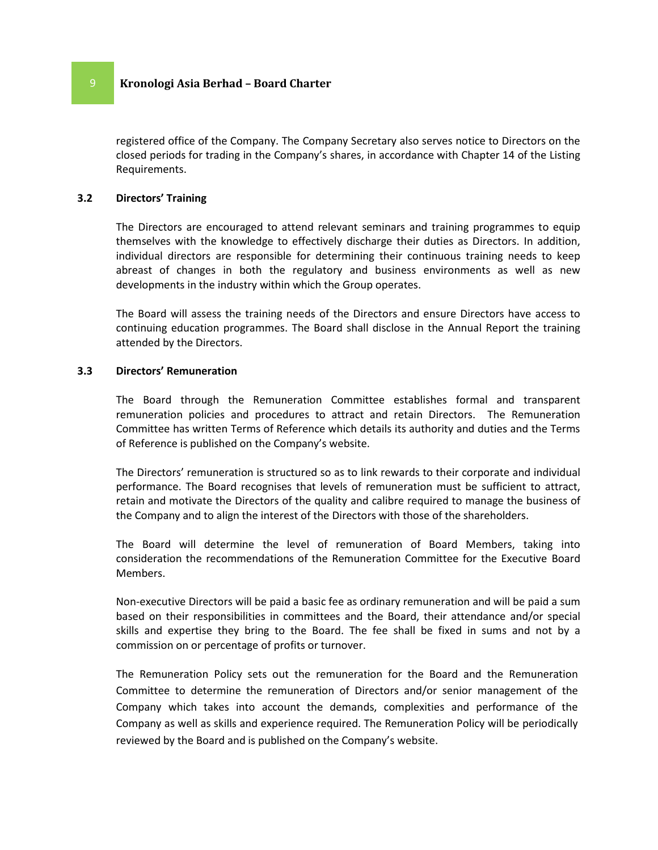registered office of the Company. The Company Secretary also serves notice to Directors on the closed periods for trading in the Company's shares, in accordance with Chapter 14 of the Listing Requirements.

#### **3.2 Directors' Training**

The Directors are encouraged to attend relevant seminars and training programmes to equip themselves with the knowledge to effectively discharge their duties as Directors. In addition, individual directors are responsible for determining their continuous training needs to keep abreast of changes in both the regulatory and business environments as well as new developments in the industry within which the Group operates.

The Board will assess the training needs of the Directors and ensure Directors have access to continuing education programmes. The Board shall disclose in the Annual Report the training attended by the Directors.

#### **3.3 Directors' Remuneration**

The Board through the Remuneration Committee establishes formal and transparent remuneration policies and procedures to attract and retain Directors. The Remuneration Committee has written Terms of Reference which details its authority and duties and the Terms of Reference is published on the Company's website.

The Directors' remuneration is structured so as to link rewards to their corporate and individual performance. The Board recognises that levels of remuneration must be sufficient to attract, retain and motivate the Directors of the quality and calibre required to manage the business of the Company and to align the interest of the Directors with those of the shareholders.

The Board will determine the level of remuneration of Board Members, taking into consideration the recommendations of the Remuneration Committee for the Executive Board Members.

Non-executive Directors will be paid a basic fee as ordinary remuneration and will be paid a sum based on their responsibilities in committees and the Board, their attendance and/or special skills and expertise they bring to the Board. The fee shall be fixed in sums and not by a commission on or percentage of profits or turnover.

The Remuneration Policy sets out the remuneration for the Board and the Remuneration Committee to determine the remuneration of Directors and/or senior management of the Company which takes into account the demands, complexities and performance of the Company as well as skills and experience required. The Remuneration Policy will be periodically reviewed by the Board and is published on the Company's website.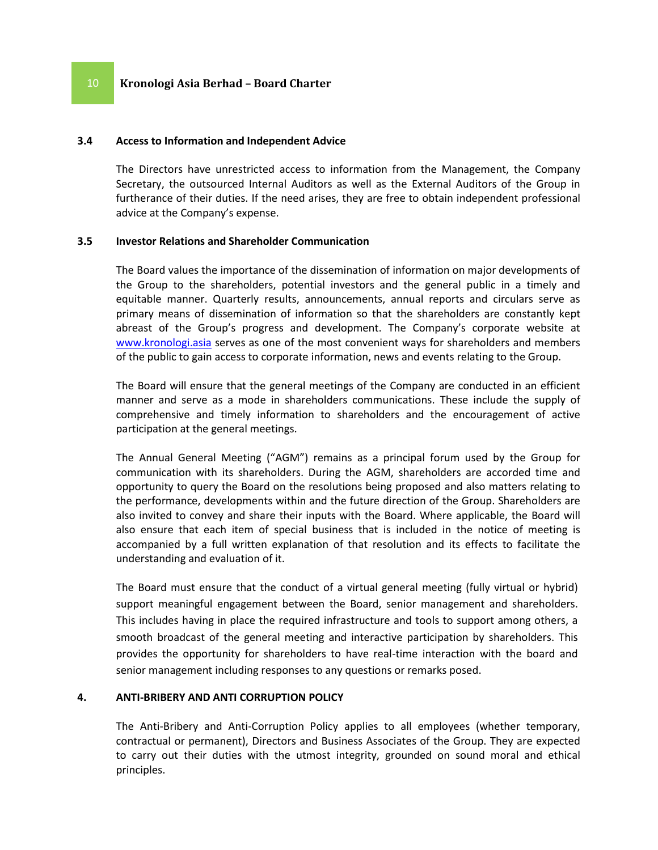#### **3.4 Access to Information and Independent Advice**

The Directors have unrestricted access to information from the Management, the Company Secretary, the outsourced Internal Auditors as well as the External Auditors of the Group in furtherance of their duties. If the need arises, they are free to obtain independent professional advice at the Company's expense.

### **3.5 Investor Relations and Shareholder Communication**

The Board values the importance of the dissemination of information on major developments of the Group to the shareholders, potential investors and the general public in a timely and equitable manner. Quarterly results, announcements, annual reports and circulars serve as primary means of dissemination of information so that the shareholders are constantly kept abreast of the Group's progress and development. The Company's corporate website at [www.kronologi.asia](http://www.kronologi.asia/) serves as one of the most convenient ways for shareholders and members of the public to gain access to corporate information, news and events relating to the Group.

The Board will ensure that the general meetings of the Company are conducted in an efficient manner and serve as a mode in shareholders communications. These include the supply of comprehensive and timely information to shareholders and the encouragement of active participation at the general meetings.

The Annual General Meeting ("AGM") remains as a principal forum used by the Group for communication with its shareholders. During the AGM, shareholders are accorded time and opportunity to query the Board on the resolutions being proposed and also matters relating to the performance, developments within and the future direction of the Group. Shareholders are also invited to convey and share their inputs with the Board. Where applicable, the Board will also ensure that each item of special business that is included in the notice of meeting is accompanied by a full written explanation of that resolution and its effects to facilitate the understanding and evaluation of it.

The Board must ensure that the conduct of a virtual general meeting (fully virtual or hybrid) support meaningful engagement between the Board, senior management and shareholders. This includes having in place the required infrastructure and tools to support among others, a smooth broadcast of the general meeting and interactive participation by shareholders. This provides the opportunity for shareholders to have real-time interaction with the board and senior management including responses to any questions or remarks posed.

#### **4. ANTI-BRIBERY AND ANTI CORRUPTION POLICY**

The Anti-Bribery and Anti-Corruption Policy applies to all employees (whether temporary, contractual or permanent), Directors and Business Associates of the Group. They are expected to carry out their duties with the utmost integrity, grounded on sound moral and ethical principles.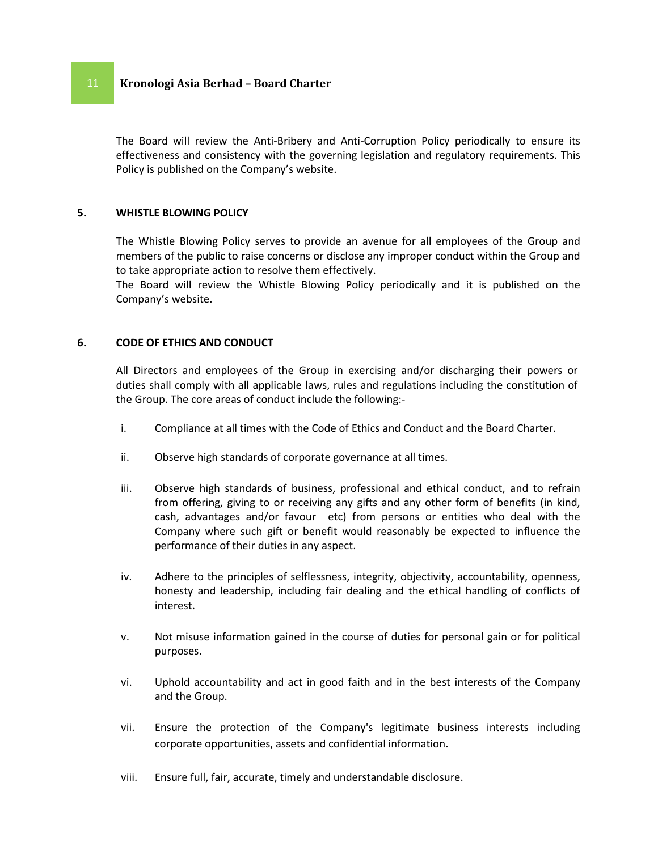The Board will review the Anti-Bribery and Anti-Corruption Policy periodically to ensure its effectiveness and consistency with the governing legislation and regulatory requirements. This Policy is published on the Company's website.

### **5. WHISTLE BLOWING POLICY**

The Whistle Blowing Policy serves to provide an avenue for all employees of the Group and members of the public to raise concerns or disclose any improper conduct within the Group and to take appropriate action to resolve them effectively.

The Board will review the Whistle Blowing Policy periodically and it is published on the Company's website.

#### **6. CODE OF ETHICS AND CONDUCT**

All Directors and employees of the Group in exercising and/or discharging their powers or duties shall comply with all applicable laws, rules and regulations including the constitution of the Group. The core areas of conduct include the following:-

- i. Compliance at all times with the Code of Ethics and Conduct and the Board Charter.
- ii. Observe high standards of corporate governance at all times.
- iii. Observe high standards of business, professional and ethical conduct, and to refrain from offering, giving to or receiving any gifts and any other form of benefits (in kind, cash, advantages and/or favour etc) from persons or entities who deal with the Company where such gift or benefit would reasonably be expected to influence the performance of their duties in any aspect.
- iv. Adhere to the principles of selflessness, integrity, objectivity, accountability, openness, honesty and leadership, including fair dealing and the ethical handling of conflicts of interest.
- v. Not misuse information gained in the course of duties for personal gain or for political purposes.
- vi. Uphold accountability and act in good faith and in the best interests of the Company and the Group.
- vii. Ensure the protection of the Company's legitimate business interests including corporate opportunities, assets and confidential information.
- viii. Ensure full, fair, accurate, timely and understandable disclosure.